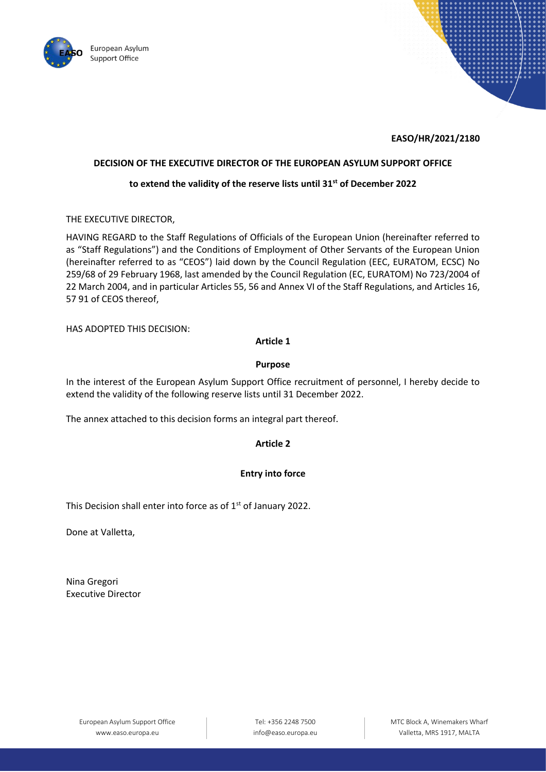



# **EASO/HR/2021/2180**

## **DECISION OF THE EXECUTIVE DIRECTOR OF THE EUROPEAN ASYLUM SUPPORT OFFICE**

# **to extend the validity of the reserve lists until 31st of December 2022**

THE EXECUTIVE DIRECTOR,

HAVING REGARD to the Staff Regulations of Officials of the European Union (hereinafter referred to as "Staff Regulations") and the Conditions of Employment of Other Servants of the European Union (hereinafter referred to as "CEOS") laid down by the Council Regulation (EEC, EURATOM, ECSC) No 259/68 of 29 February 1968, last amended by the Council Regulation (EC, EURATOM) No 723/2004 of 22 March 2004, and in particular Articles 55, 56 and Annex VI of the Staff Regulations, and Articles 16, 57 91 of CEOS thereof,

HAS ADOPTED THIS DECISION:

# **Article 1**

### **Purpose**

In the interest of the European Asylum Support Office recruitment of personnel, I hereby decide to extend the validity of the following reserve lists until 31 December 2022.

The annex attached to this decision forms an integral part thereof.

### **Article 2**

### **Entry into force**

This Decision shall enter into force as of 1<sup>st</sup> of January 2022.

Done at Valletta,

Nina Gregori Executive Director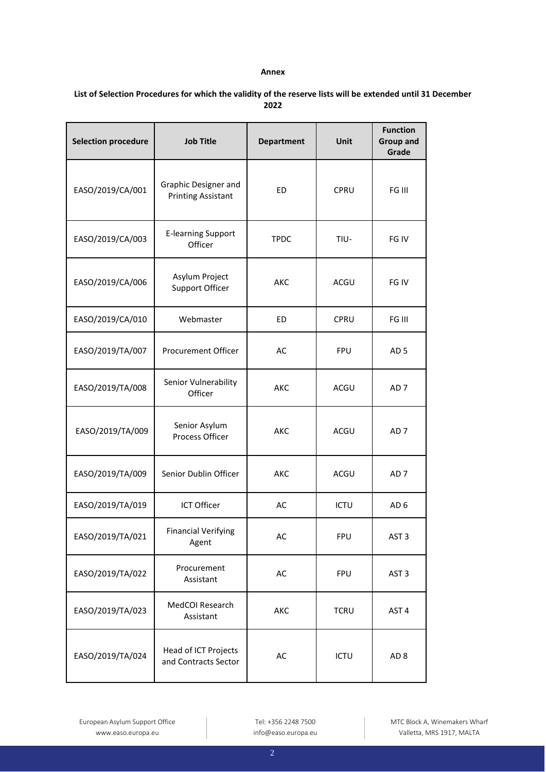#### **Annex**

| List of Selection Procedures for which the validity of the reserve lists will be extended until 31 December |
|-------------------------------------------------------------------------------------------------------------|
| 2022                                                                                                        |

| <b>Selection procedure</b> | <b>Job Title</b>                                  | <b>Department</b> | Unit        | <b>Function</b><br><b>Group and</b><br>Grade |
|----------------------------|---------------------------------------------------|-------------------|-------------|----------------------------------------------|
| EASO/2019/CA/001           | Graphic Designer and<br><b>Printing Assistant</b> | ED                | CPRU        | FG III                                       |
| EASO/2019/CA/003           | <b>E-learning Support</b><br>Officer              | <b>TPDC</b>       | TIU-        | FG IV                                        |
| EASO/2019/CA/006           | Asylum Project<br>Support Officer                 | AKC               | ACGU        | FG IV                                        |
| EASO/2019/CA/010           | Webmaster                                         | ED                | CPRU        | FG III                                       |
| EASO/2019/TA/007           | Procurement Officer                               | AC                | <b>FPU</b>  | AD <sub>5</sub>                              |
| EASO/2019/TA/008           | Senior Vulnerability<br>Officer                   | AKC               | ACGU        | AD <sub>7</sub>                              |
| EASO/2019/TA/009           | Senior Asylum<br>Process Officer                  | AKC               | ACGU        | AD <sub>7</sub>                              |
| EASO/2019/TA/009           | Senior Dublin Officer                             | AKC               | ACGU        | AD <sub>7</sub>                              |
| EASO/2019/TA/019           | ICT Officer                                       | AC                | <b>ICTU</b> | AD <sub>6</sub>                              |
| EASO/2019/TA/021           | <b>Financial Verifying</b><br>Agent               | AC                | <b>FPU</b>  | AST <sub>3</sub>                             |
| EASO/2019/TA/022           | Procurement<br>Assistant                          | AC                | <b>FPU</b>  | AST <sub>3</sub>                             |
| EASO/2019/TA/023           | MedCOI Research<br>Assistant                      | AKC               | <b>TCRU</b> | AST <sub>4</sub>                             |
| EASO/2019/TA/024           | Head of ICT Projects<br>and Contracts Sector      | AC                | <b>ICTU</b> | AD <sub>8</sub>                              |

European Asylum Support Office www.easo.europa.eu

Tel: +356 2248 7500 info@easo.europa.eu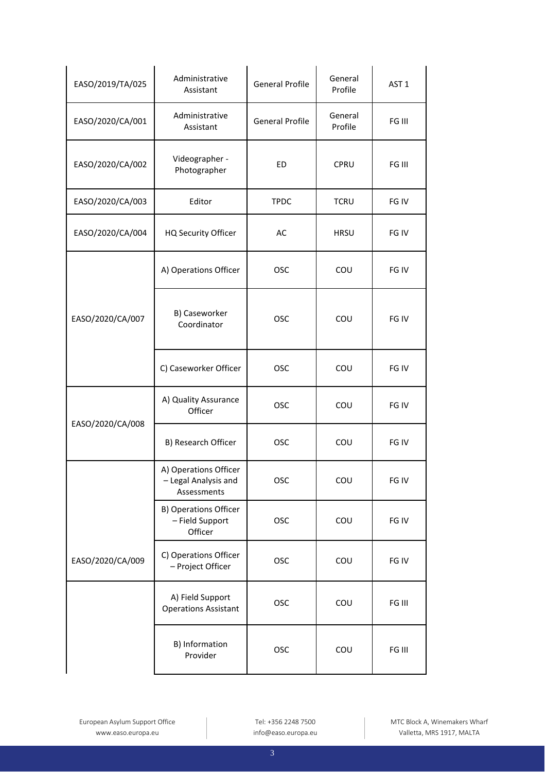| EASO/2019/TA/025 | Administrative<br>Assistant                                  | <b>General Profile</b> | General<br>Profile | AST <sub>1</sub> |
|------------------|--------------------------------------------------------------|------------------------|--------------------|------------------|
| EASO/2020/CA/001 | Administrative<br>Assistant                                  | <b>General Profile</b> | General<br>Profile | FG III           |
| EASO/2020/CA/002 | Videographer -<br>Photographer                               | <b>ED</b>              | CPRU               | FG III           |
| EASO/2020/CA/003 | Editor                                                       | <b>TPDC</b>            | <b>TCRU</b>        | FG IV            |
| EASO/2020/CA/004 | HQ Security Officer                                          | AC                     | <b>HRSU</b>        | FG IV            |
|                  | A) Operations Officer                                        | <b>OSC</b>             | COU                | FG IV            |
| EASO/2020/CA/007 | B) Caseworker<br>Coordinator                                 | <b>OSC</b>             | COU                | FG IV            |
|                  | C) Caseworker Officer                                        | <b>OSC</b>             | COU                | FG IV            |
| EASO/2020/CA/008 | A) Quality Assurance<br>Officer                              | <b>OSC</b>             | COU                | FG IV            |
|                  | B) Research Officer                                          | <b>OSC</b>             | COU                | FG IV            |
|                  | A) Operations Officer<br>- Legal Analysis and<br>Assessments | <b>OSC</b>             | COU                | FG IV            |
|                  | <b>B) Operations Officer</b><br>- Field Support<br>Officer   | <b>OSC</b>             | COU                | FG IV            |
| EASO/2020/CA/009 | C) Operations Officer<br>- Project Officer                   | OSC                    | COU                | FG IV            |
|                  | A) Field Support<br><b>Operations Assistant</b>              | <b>OSC</b>             | COU                | FG III           |
|                  | B) Information<br>Provider                                   | OSC                    | COU                | FG III           |

Tel: +356 2248 7500 info@easo.europa.eu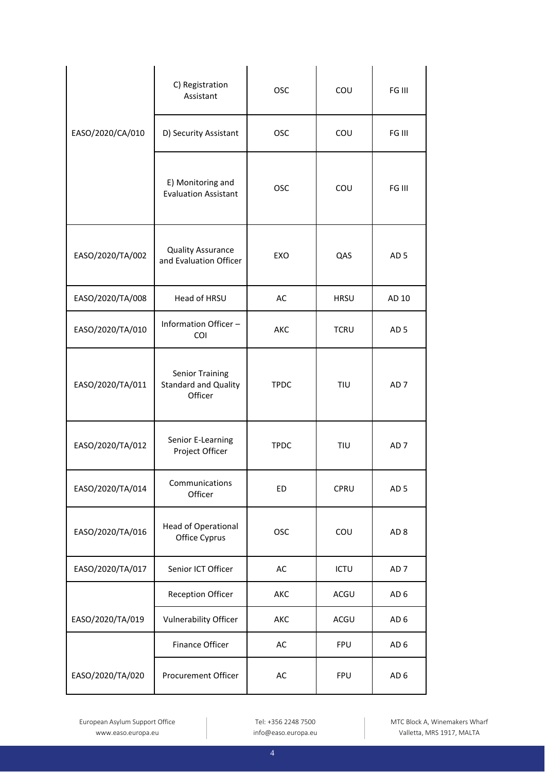|                  | C) Registration<br>Assistant                                     | <b>OSC</b>  | COU         | FG III          |
|------------------|------------------------------------------------------------------|-------------|-------------|-----------------|
| EASO/2020/CA/010 | D) Security Assistant                                            | <b>OSC</b>  | COU         | FG III          |
|                  | E) Monitoring and<br><b>Evaluation Assistant</b>                 | <b>OSC</b>  | COU         | FG III          |
| EASO/2020/TA/002 | <b>Quality Assurance</b><br>and Evaluation Officer               | EXO         | QAS         | AD <sub>5</sub> |
| EASO/2020/TA/008 | Head of HRSU                                                     | AC          | <b>HRSU</b> | AD 10           |
| EASO/2020/TA/010 | Information Officer -<br><b>COI</b>                              | AKC         | <b>TCRU</b> | AD <sub>5</sub> |
| EASO/2020/TA/011 | <b>Senior Training</b><br><b>Standard and Quality</b><br>Officer | <b>TPDC</b> | TIU         | AD <sub>7</sub> |
| EASO/2020/TA/012 | Senior E-Learning<br>Project Officer                             | <b>TPDC</b> | TIU         | AD <sub>7</sub> |
| EASO/2020/TA/014 | Communications<br>Officer                                        | <b>ED</b>   | CPRU        | AD <sub>5</sub> |
| EASO/2020/TA/016 | <b>Head of Operational</b><br>Office Cyprus                      | OSC         | COU         | AD <sub>8</sub> |
| EASO/2020/TA/017 | Senior ICT Officer                                               | AC          | <b>ICTU</b> | AD <sub>7</sub> |
|                  | <b>Reception Officer</b>                                         | AKC         | ACGU        | AD <sub>6</sub> |
| EASO/2020/TA/019 | <b>Vulnerability Officer</b>                                     | AKC         | ACGU        | AD <sub>6</sub> |
|                  | <b>Finance Officer</b>                                           | AC          | <b>FPU</b>  | AD <sub>6</sub> |
| EASO/2020/TA/020 | Procurement Officer                                              | AC          | <b>FPU</b>  | AD <sub>6</sub> |

European Asylum Support Office www.easo.europa.eu

Tel: +356 2248 7500 info@easo.europa.eu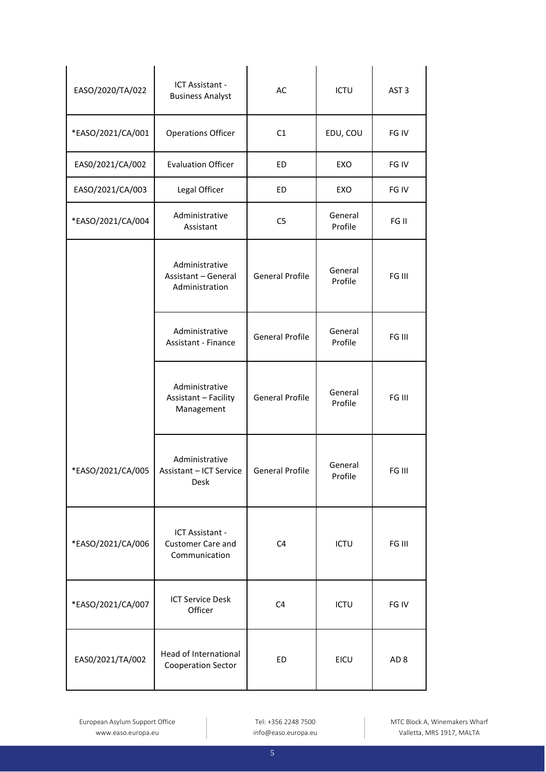| EASO/2020/TA/022  | ICT Assistant -<br><b>Business Analyst</b>                     | AC                     | <b>ICTU</b>        | AST <sub>3</sub> |
|-------------------|----------------------------------------------------------------|------------------------|--------------------|------------------|
| *EASO/2021/CA/001 | <b>Operations Officer</b>                                      | C1                     | EDU, COU           | FG IV            |
| EAS0/2021/CA/002  | <b>Evaluation Officer</b>                                      | ED                     | EXO                | FG IV            |
| EASO/2021/CA/003  | Legal Officer                                                  | ED                     | EXO                | FG IV            |
| *EASO/2021/CA/004 | Administrative<br>Assistant                                    | C <sub>5</sub>         | General<br>Profile | FG II            |
|                   | Administrative<br><b>Assistant - General</b><br>Administration | <b>General Profile</b> | General<br>Profile | FG III           |
|                   | Administrative<br><b>Assistant - Finance</b>                   | <b>General Profile</b> | General<br>Profile | FG III           |
|                   | Administrative<br>Assistant - Facility<br>Management           | <b>General Profile</b> | General<br>Profile | FG III           |
| *EASO/2021/CA/005 | Administrative<br>Assistant - ICT Service<br>Desk              | <b>General Profile</b> | General<br>Profile | FG III           |
| *EASO/2021/CA/006 | ICT Assistant -<br><b>Customer Care and</b><br>Communication   | C <sub>4</sub>         | <b>ICTU</b>        | FG III           |
| *EASO/2021/CA/007 | <b>ICT Service Desk</b><br>Officer                             | C <sub>4</sub>         | <b>ICTU</b>        | FG IV            |
| EAS0/2021/TA/002  | Head of International<br>Cooperation Sector                    | ED                     | EICU               | AD <sub>8</sub>  |

European Asylum Support Office www.easo.europa.eu

Tel: +356 2248 7500 info@easo.europa.eu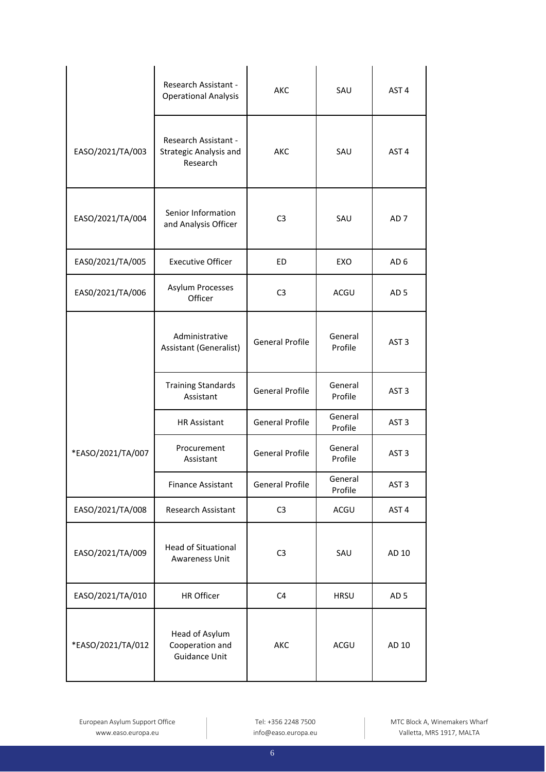|                   | Research Assistant -<br><b>Operational Analysis</b>        | <b>AKC</b>             | SAU                | AST <sub>4</sub> |
|-------------------|------------------------------------------------------------|------------------------|--------------------|------------------|
| EASO/2021/TA/003  | Research Assistant -<br>Strategic Analysis and<br>Research | AKC                    | SAU                | AST <sub>4</sub> |
| EASO/2021/TA/004  | Senior Information<br>and Analysis Officer                 | C <sub>3</sub>         | SAU                | AD <sub>7</sub>  |
| EAS0/2021/TA/005  | <b>Executive Officer</b>                                   | ED                     | EXO                | AD <sub>6</sub>  |
| EAS0/2021/TA/006  | Asylum Processes<br>Officer                                | C <sub>3</sub>         | ACGU               | AD <sub>5</sub>  |
|                   | Administrative<br>Assistant (Generalist)                   | <b>General Profile</b> | General<br>Profile | AST <sub>3</sub> |
|                   | <b>Training Standards</b><br>Assistant                     | <b>General Profile</b> | General<br>Profile | AST <sub>3</sub> |
|                   | <b>HR Assistant</b>                                        | <b>General Profile</b> | General<br>Profile | AST <sub>3</sub> |
| *EASO/2021/TA/007 | Procurement<br>Assistant                                   | <b>General Profile</b> | General<br>Profile | AST <sub>3</sub> |
|                   | <b>Finance Assistant</b>                                   | <b>General Profile</b> | General<br>Profile | AST <sub>3</sub> |
| EASO/2021/TA/008  | Research Assistant                                         | C <sub>3</sub>         | ACGU               | AST <sub>4</sub> |
| EASO/2021/TA/009  | <b>Head of Situational</b><br>Awareness Unit               | C <sub>3</sub>         | SAU                | AD 10            |
| EASO/2021/TA/010  | HR Officer                                                 | C <sub>4</sub>         | <b>HRSU</b>        | AD <sub>5</sub>  |
| *EASO/2021/TA/012 | Head of Asylum<br>Cooperation and<br><b>Guidance Unit</b>  | AKC                    | ACGU               | AD 10            |

Tel: +356 2248 7500 info@easo.europa.eu